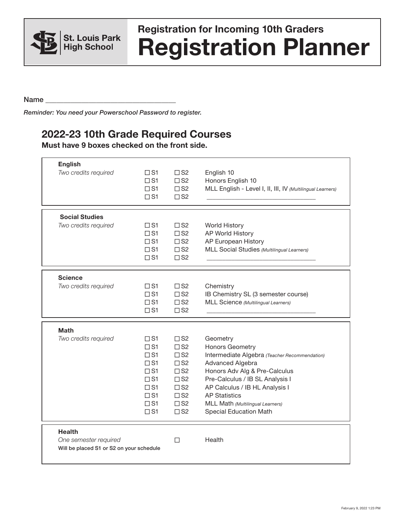

## **Registration Planner Registration for Incoming 10th Graders**

Name  $\Box$ 

*Reminder: You need your Powerschool Password to register.*

## **2022-23 10th Grade Required Courses**

**Must have 9 boxes checked on the front side.**

| <b>English</b><br>Two credits required                                             | $\square$ S1<br>$\Box$ S1<br>$\Box$ S1<br>$\Box$ S1                                                                            | $\square$ S2<br>$\square$ S <sub>2</sub><br>$\square$ S2<br>$\square$ S2                                                                                     | English 10<br>Honors English 10<br>MLL English - Level I, II, III, IV (Multilingual Learners)                                                                                                                                                                                                       |
|------------------------------------------------------------------------------------|--------------------------------------------------------------------------------------------------------------------------------|--------------------------------------------------------------------------------------------------------------------------------------------------------------|-----------------------------------------------------------------------------------------------------------------------------------------------------------------------------------------------------------------------------------------------------------------------------------------------------|
| <b>Social Studies</b><br>Two credits required                                      | $\Box$ S1<br>$\Box$ S1<br>$\square$ S1<br>$\Box$ S1<br>$\Box$ S1                                                               | $\square$ S2<br>$\square$ S2<br>$\square$ S2<br>$\square$ S2<br>$\square$ S2                                                                                 | <b>World History</b><br>AP World History<br>AP European History<br>MLL Social Studies (Multilingual Learners)                                                                                                                                                                                       |
| <b>Science</b><br>Two credits required                                             | $\square$ S1<br>$\Box$ S1<br>$\Box$ S1<br>$\Box$ S1                                                                            | $\square$ S2<br>$\square$ S2<br>$\square$ S2<br>$\square$ S2                                                                                                 | Chemistry<br>IB Chemistry SL (3 semester course)<br>MLL Science (Multilingual Learners)                                                                                                                                                                                                             |
| <b>Math</b><br>Two credits required                                                | $\Box$ S1<br>$\Box$ S1<br>$\Box$ S1<br>$\Box$ S1<br>$\Box$ S1<br>$\Box$ S1<br>$\Box$ S1<br>$\Box$ S1<br>$\Box$ S1<br>$\Box$ S1 | $\square$ S2<br>$\square$ S2<br>$\square$ S2<br>$\square$ S2<br>$\square$ S2<br>$\square$ S2<br>$\square$ S2<br>$\square$ S2<br>$\square$ S2<br>$\square$ S2 | Geometry<br>Honors Geometry<br>Intermediate Algebra (Teacher Recommendation)<br>Advanced Algebra<br>Honors Adv Alg & Pre-Calculus<br>Pre-Calculus / IB SL Analysis I<br>AP Calculus / IB HL Analysis I<br><b>AP Statistics</b><br>MLL Math (Multilingual Learners)<br><b>Special Education Math</b> |
| <b>Health</b><br>One semester required<br>Will be placed S1 or S2 on your schedule |                                                                                                                                | $\Box$                                                                                                                                                       | Health                                                                                                                                                                                                                                                                                              |